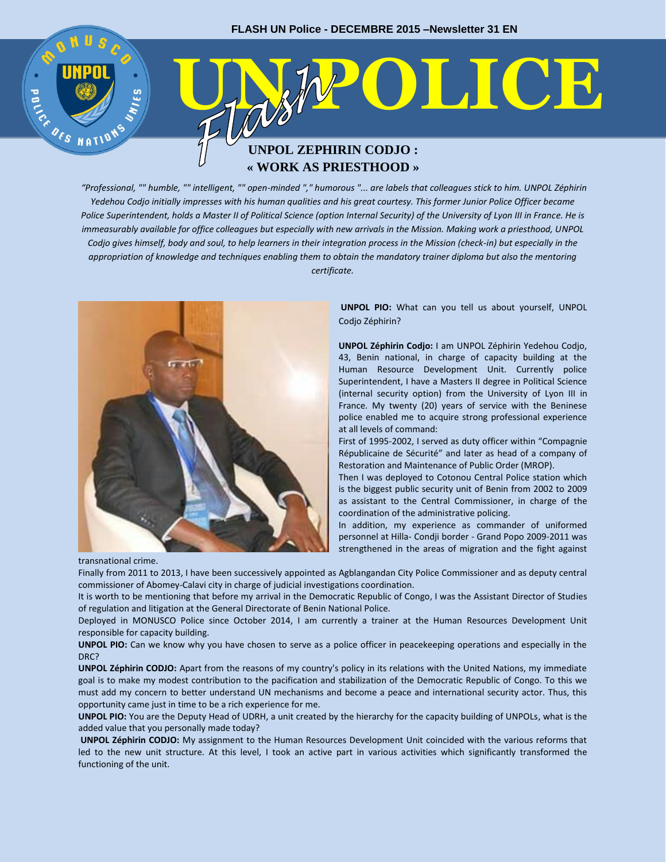# **ELECTION MOLICE UNPOL ZEPHIRIN CODJO : « WORK AS PRIESTHOOD »**

*"Professional, "" humble, "" intelligent, "" open-minded "," humorous "... are labels that colleagues stick to him. UNPOL Zéphirin Yedehou Codjo initially impresses with his human qualities and his great courtesy. This former Junior Police Officer became Police Superintendent, holds a Master II of Political Science (option Internal Security) of the University of Lyon III in France. He is immeasurably available for office colleagues but especially with new arrivals in the Mission. Making work a priesthood, UNPOL Codjo gives himself, body and soul, to help learners in their integration process in the Mission (check-in) but especially in the appropriation of knowledge and techniques enabling them to obtain the mandatory trainer diploma but also the mentoring certificate.*



**UNPOL PIO:** What can you tell us about yourself, UNPOL Codjo Zéphirin?

**UNPOL Zéphirin Codjo:** I am UNPOL Zéphirin Yedehou Codjo, 43, Benin national, in charge of capacity building at the Human Resource Development Unit. Currently police Superintendent, I have a Masters II degree in Political Science (internal security option) from the University of Lyon III in France. My twenty (20) years of service with the Beninese police enabled me to acquire strong professional experience at all levels of command:

First of 1995-2002, I served as duty officer within "Compagnie Républicaine de Sécurité" and later as head of a company of Restoration and Maintenance of Public Order (MROP).

Then I was deployed to Cotonou Central Police station which is the biggest public security unit of Benin from 2002 to 2009 as assistant to the Central Commissioner, in charge of the coordination of the administrative policing.

In addition, my experience as commander of uniformed personnel at Hilla- Condji border - Grand Popo 2009-2011 was strengthened in the areas of migration and the fight against

transnational crime.

30

Finally from 2011 to 2013, I have been successively appointed as Agblangandan City Police Commissioner and as deputy central commissioner of Abomey-Calavi city in charge of judicial investigations coordination.

It is worth to be mentioning that before my arrival in the Democratic Republic of Congo, I was the Assistant Director of Studies of regulation and litigation at the General Directorate of Benin National Police.

Deployed in MONUSCO Police since October 2014, I am currently a trainer at the Human Resources Development Unit responsible for capacity building.

**UNPOL PIO:** Can we know why you have chosen to serve as a police officer in peacekeeping operations and especially in the DRC?

**UNPOL Zéphirin CODJO:** Apart from the reasons of my country's policy in its relations with the United Nations, my immediate goal is to make my modest contribution to the pacification and stabilization of the Democratic Republic of Congo. To this we must add my concern to better understand UN mechanisms and become a peace and international security actor. Thus, this opportunity came just in time to be a rich experience for me.

**UNPOL PIO:** You are the Deputy Head of UDRH, a unit created by the hierarchy for the capacity building of UNPOLs, what is the added value that you personally made today?

**UNPOL Zéphirin CODJO:** My assignment to the Human Resources Development Unit coincided with the various reforms that led to the new unit structure. At this level, I took an active part in various activities which significantly transformed the functioning of the unit.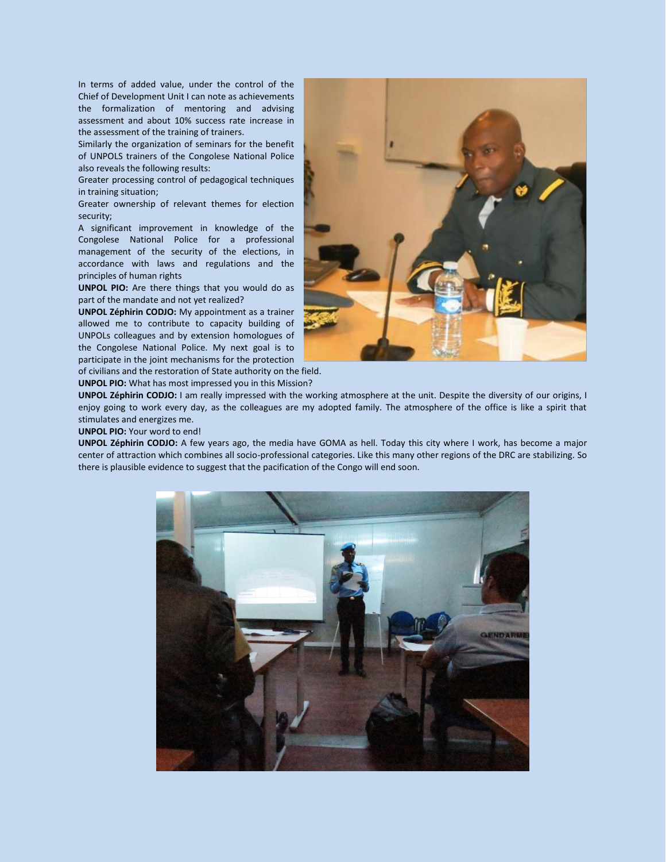In terms of added value, under the control of the Chief of Development Unit I can note as achievements the formalization of mentoring and advising assessment and about 10% success rate increase in the assessment of the training of trainers.

Similarly the organization of seminars for the benefit of UNPOLS trainers of the Congolese National Police also reveals the following results:

Greater processing control of pedagogical techniques in training situation;

Greater ownership of relevant themes for election security;

A significant improvement in knowledge of the Congolese National Police for a professional management of the security of the elections, in accordance with laws and regulations and the principles of human rights

**UNPOL PIO:** Are there things that you would do as part of the mandate and not yet realized?

**UNPOL Zéphirin CODJO:** My appointment as a trainer allowed me to contribute to capacity building of UNPOLs colleagues and by extension homologues of the Congolese National Police. My next goal is to participate in the joint mechanisms for the protection

of civilians and the restoration of State authority on the field. **UNPOL PIO:** What has most impressed you in this Mission?

**UNPOL Zéphirin CODJO:** I am really impressed with the working atmosphere at the unit. Despite the diversity of our origins, I enjoy going to work every day, as the colleagues are my adopted family. The atmosphere of the office is like a spirit that stimulates and energizes me.

**UNPOL PIO:** Your word to end!

**UNPOL Zéphirin CODJO:** A few years ago, the media have GOMA as hell. Today this city where I work, has become a major center of attraction which combines all socio-professional categories. Like this many other regions of the DRC are stabilizing. So there is plausible evidence to suggest that the pacification of the Congo will end soon.



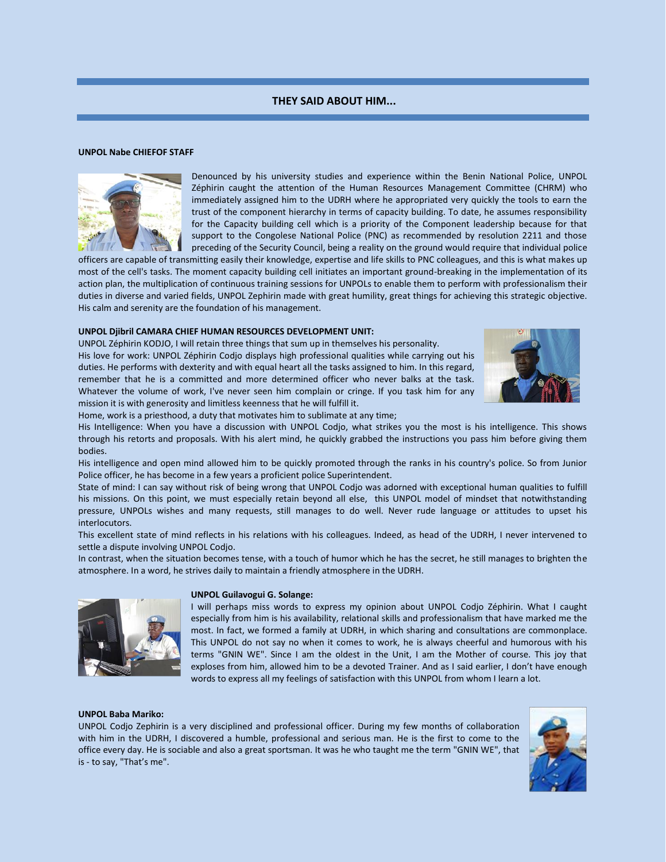# **THEY SAID ABOUT HIM...**

#### **UNPOL Nabe CHIEFOF STAFF**



Denounced by his university studies and experience within the Benin National Police, UNPOL Zéphirin caught the attention of the Human Resources Management Committee (CHRM) who immediately assigned him to the UDRH where he appropriated very quickly the tools to earn the trust of the component hierarchy in terms of capacity building. To date, he assumes responsibility for the Capacity building cell which is a priority of the Component leadership because for that support to the Congolese National Police (PNC) as recommended by resolution 2211 and those preceding of the Security Council, being a reality on the ground would require that individual police

officers are capable of transmitting easily their knowledge, expertise and life skills to PNC colleagues, and this is what makes up most of the cell's tasks. The moment capacity building cell initiates an important ground-breaking in the implementation of its action plan, the multiplication of continuous training sessions for UNPOLs to enable them to perform with professionalism their duties in diverse and varied fields, UNPOL Zephirin made with great humility, great things for achieving this strategic objective. His calm and serenity are the foundation of his management.

### **UNPOL Djibril CAMARA CHIEF HUMAN RESOURCES DEVELOPMENT UNIT:**

UNPOL Zéphirin KODJO, I will retain three things that sum up in themselves his personality. His love for work: UNPOL Zéphirin Codjo displays high professional qualities while carrying out his duties. He performs with dexterity and with equal heart all the tasks assigned to him. In this regard, remember that he is a committed and more determined officer who never balks at the task. Whatever the volume of work, I've never seen him complain or cringe. If you task him for any mission it is with generosity and limitless keenness that he will fulfill it.



Home, work is a priesthood, a duty that motivates him to sublimate at any time;

His Intelligence: When you have a discussion with UNPOL Codjo, what strikes you the most is his intelligence. This shows through his retorts and proposals. With his alert mind, he quickly grabbed the instructions you pass him before giving them bodies.

His intelligence and open mind allowed him to be quickly promoted through the ranks in his country's police. So from Junior Police officer, he has become in a few years a proficient police Superintendent.

State of mind: I can say without risk of being wrong that UNPOL Codjo was adorned with exceptional human qualities to fulfill his missions. On this point, we must especially retain beyond all else, this UNPOL model of mindset that notwithstanding pressure, UNPOLs wishes and many requests, still manages to do well. Never rude language or attitudes to upset his interlocutors.

This excellent state of mind reflects in his relations with his colleagues. Indeed, as head of the UDRH, I never intervened to settle a dispute involving UNPOL Codjo.

In contrast, when the situation becomes tense, with a touch of humor which he has the secret, he still manages to brighten the atmosphere. In a word, he strives daily to maintain a friendly atmosphere in the UDRH.



#### **UNPOL Guilavogui G. Solange:**

I will perhaps miss words to express my opinion about UNPOL Codjo Zéphirin. What I caught especially from him is his availability, relational skills and professionalism that have marked me the most. In fact, we formed a family at UDRH, in which sharing and consultations are commonplace. This UNPOL do not say no when it comes to work, he is always cheerful and humorous with his terms "GNIN WE". Since I am the oldest in the Unit, I am the Mother of course. This joy that exploses from him, allowed him to be a devoted Trainer. And as I said earlier, I don't have enough words to express all my feelings of satisfaction with this UNPOL from whom I learn a lot.

#### **UNPOL Baba Mariko:**

UNPOL Codjo Zephirin is a very disciplined and professional officer. During my few months of collaboration with him in the UDRH, I discovered a humble, professional and serious man. He is the first to come to the office every day. He is sociable and also a great sportsman. It was he who taught me the term "GNIN WE", that is - to say, "That's me".